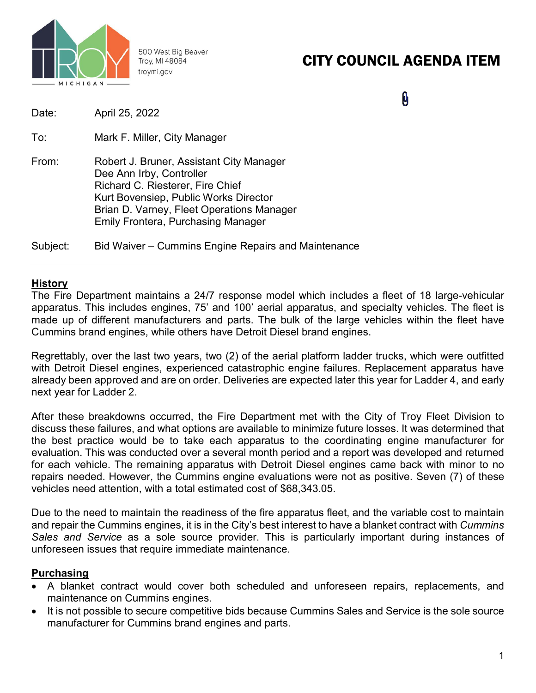

500 West Big Beaver Troy, MI 48084 troymi.gov

# CITY COUNCIL AGENDA ITEM

 $\mathbf{\theta}$ 

| Date:    | April 25, 2022                                                                                                                                                                                                                              |
|----------|---------------------------------------------------------------------------------------------------------------------------------------------------------------------------------------------------------------------------------------------|
| To:      | Mark F. Miller, City Manager                                                                                                                                                                                                                |
| From:    | Robert J. Bruner, Assistant City Manager<br>Dee Ann Irby, Controller<br>Richard C. Riesterer, Fire Chief<br>Kurt Bovensiep, Public Works Director<br>Brian D. Varney, Fleet Operations Manager<br><b>Emily Frontera, Purchasing Manager</b> |
| Subject: | Bid Waiver – Cummins Engine Repairs and Maintenance                                                                                                                                                                                         |

#### **History**

The Fire Department maintains a 24/7 response model which includes a fleet of 18 large-vehicular apparatus. This includes engines, 75' and 100' aerial apparatus, and specialty vehicles. The fleet is made up of different manufacturers and parts. The bulk of the large vehicles within the fleet have Cummins brand engines, while others have Detroit Diesel brand engines.

Regrettably, over the last two years, two (2) of the aerial platform ladder trucks, which were outfitted with Detroit Diesel engines, experienced catastrophic engine failures. Replacement apparatus have already been approved and are on order. Deliveries are expected later this year for Ladder 4, and early next year for Ladder 2.

After these breakdowns occurred, the Fire Department met with the City of Troy Fleet Division to discuss these failures, and what options are available to minimize future losses. It was determined that the best practice would be to take each apparatus to the coordinating engine manufacturer for evaluation. This was conducted over a several month period and a report was developed and returned for each vehicle. The remaining apparatus with Detroit Diesel engines came back with minor to no repairs needed. However, the Cummins engine evaluations were not as positive. Seven (7) of these vehicles need attention, with a total estimated cost of \$68,343.05.

Due to the need to maintain the readiness of the fire apparatus fleet, and the variable cost to maintain and repair the Cummins engines, it is in the City's best interest to have a blanket contract with *Cummins Sales and Service* as a sole source provider. This is particularly important during instances of unforeseen issues that require immediate maintenance.

### **Purchasing**

- A blanket contract would cover both scheduled and unforeseen repairs, replacements, and maintenance on Cummins engines.
- It is not possible to secure competitive bids because Cummins Sales and Service is the sole source manufacturer for Cummins brand engines and parts.